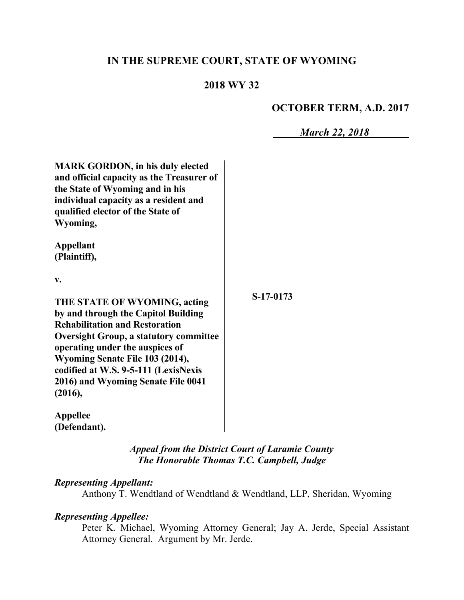# **IN THE SUPREME COURT, STATE OF WYOMING**

## **2018 WY 32**

# **OCTOBER TERM, A.D. 2017**

*March 22, 2018*

| <b>MARK GORDON, in his duly elected</b><br>and official capacity as the Treasurer of<br>the State of Wyoming and in his<br>individual capacity as a resident and<br>qualified elector of the State of<br>Wyoming,                                                                                                            |           |
|------------------------------------------------------------------------------------------------------------------------------------------------------------------------------------------------------------------------------------------------------------------------------------------------------------------------------|-----------|
| <b>Appellant</b><br>(Plaintiff),<br>V.                                                                                                                                                                                                                                                                                       |           |
| THE STATE OF WYOMING, acting<br>by and through the Capitol Building<br><b>Rehabilitation and Restoration</b><br><b>Oversight Group, a statutory committee</b><br>operating under the auspices of<br>Wyoming Senate File 103 (2014),<br>codified at W.S. 9-5-111 (LexisNexis<br>2016) and Wyoming Senate File 0041<br>(2016), | S-17-0173 |
| <b>Appellee</b><br>(Defendant).                                                                                                                                                                                                                                                                                              |           |

*Appeal from the District Court of Laramie County The Honorable Thomas T.C. Campbell, Judge* 

## *Representing Appellant:*

Anthony T. Wendtland of Wendtland & Wendtland, LLP, Sheridan, Wyoming

### *Representing Appellee:*

Peter K. Michael, Wyoming Attorney General; Jay A. Jerde, Special Assistant Attorney General. Argument by Mr. Jerde.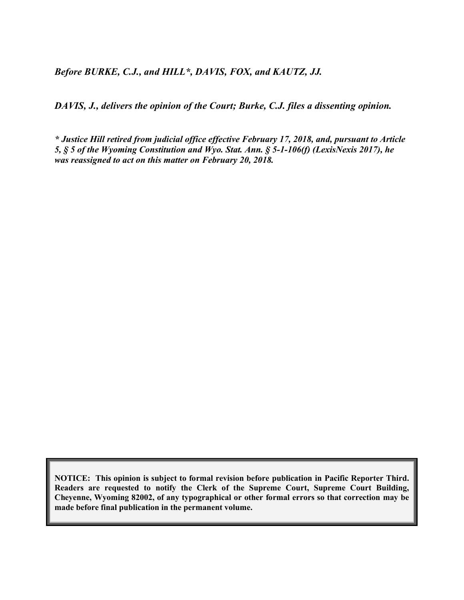*Before BURKE, C.J., and HILL\*, DAVIS, FOX, and KAUTZ, JJ.*

*DAVIS, J., delivers the opinion of the Court; Burke, C.J. files a dissenting opinion.*

*\* Justice Hill retired from judicial office effective February 17, 2018, and, pursuant to Article 5, § 5 of the Wyoming Constitution and Wyo. Stat. Ann. § 5-1-106(f) (LexisNexis 2017), he was reassigned to act on this matter on February 20, 2018.*

**NOTICE: This opinion is subject to formal revision before publication in Pacific Reporter Third. Readers are requested to notify the Clerk of the Supreme Court, Supreme Court Building, Cheyenne, Wyoming 82002, of any typographical or other formal errors so that correction may be made before final publication in the permanent volume.**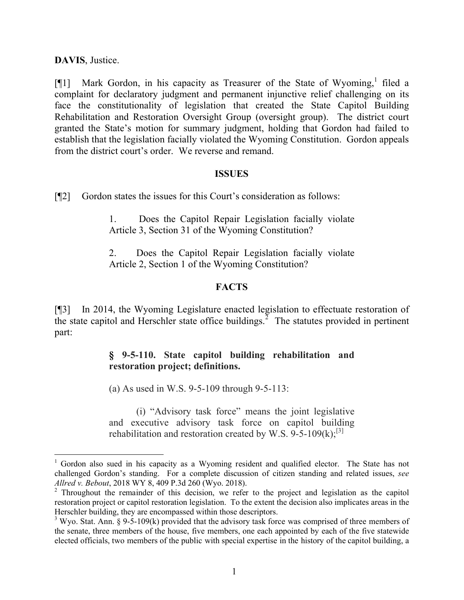**DAVIS**, Justice.

 $\overline{a}$ 

[¶1] Mark Gordon, in his capacity as Treasurer of the State of Wyoming,<sup>1</sup> filed a complaint for declaratory judgment and permanent injunctive relief challenging on its face the constitutionality of legislation that created the State Capitol Building Rehabilitation and Restoration Oversight Group (oversight group). The district court granted the State's motion for summary judgment, holding that Gordon had failed to establish that the legislation facially violated the Wyoming Constitution. Gordon appeals from the district court's order. We reverse and remand.

#### **ISSUES**

[¶2] Gordon states the issues for this Court's consideration as follows:

1. Does the Capitol Repair Legislation facially violate Article 3, Section 31 of the Wyoming Constitution?

2. Does the Capitol Repair Legislation facially violate Article 2, Section 1 of the Wyoming Constitution?

#### **FACTS**

[¶3] In 2014, the Wyoming Legislature enacted legislation to effectuate restoration of the state capitol and Herschler state office buildings.<sup>2</sup> The statutes provided in pertinent part:

# **§ 9-5-110. State capitol building rehabilitation and restoration project; definitions.**

(a) As used in W.S. 9-5-109 through 9-5-113:

(i) "Advisory task force" means the joint legislative and executive advisory task force on capitol building rehabilitation and restoration created by W.S.  $9-5-109(k)$ ;<sup>[3]</sup>

 $1$  Gordon also sued in his capacity as a Wyoming resident and qualified elector. The State has not challenged Gordon's standing. For a complete discussion of citizen standing and related issues, *see Allred v. Bebout*, 2018 WY 8, 409 P.3d 260 (Wyo. 2018).

<sup>&</sup>lt;sup>2</sup> Throughout the remainder of this decision, we refer to the project and legislation as the capitol restoration project or capitol restoration legislation. To the extent the decision also implicates areas in the Herschler building, they are encompassed within those descriptors.

 $3$  Wyo. Stat. Ann. § 9-5-109(k) provided that the advisory task force was comprised of three members of the senate, three members of the house, five members, one each appointed by each of the five statewide elected officials, two members of the public with special expertise in the history of the capitol building, a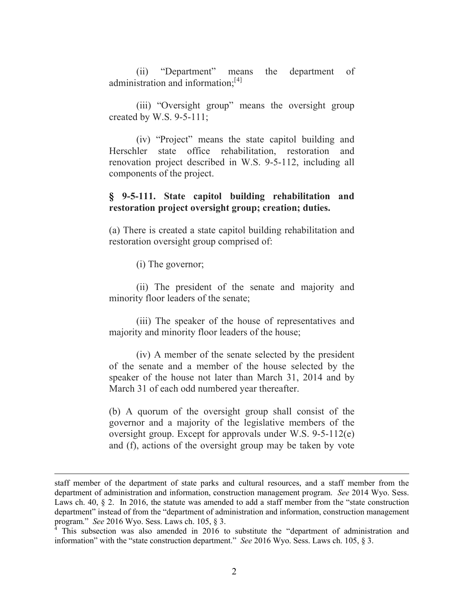(ii) "Department" means the department of administration and information; $^{[4]}$ 

(iii) "Oversight group" means the oversight group created by W.S. 9-5-111;

(iv) "Project" means the state capitol building and Herschler state office rehabilitation, restoration and renovation project described in W.S. 9-5-112, including all components of the project.

#### **§ 9-5-111. State capitol building rehabilitation and restoration project oversight group; creation; duties.**

(a) There is created a state capitol building rehabilitation and restoration oversight group comprised of:

(i) The governor;

l

(ii) The president of the senate and majority and minority floor leaders of the senate;

(iii) The speaker of the house of representatives and majority and minority floor leaders of the house;

(iv) A member of the senate selected by the president of the senate and a member of the house selected by the speaker of the house not later than March 31, 2014 and by March 31 of each odd numbered year thereafter.

(b) A quorum of the oversight group shall consist of the governor and a majority of the legislative members of the oversight group. Except for approvals under W.S. 9-5-112(e) and (f), actions of the oversight group may be taken by vote

staff member of the department of state parks and cultural resources, and a staff member from the department of administration and information, construction management program. *See* 2014 Wyo. Sess. Laws ch. 40, § 2. In 2016, the statute was amended to add a staff member from the "state construction" department" instead of from the "department of administration and information, construction management program." *See* 2016 Wyo. Sess. Laws ch. 105, § 3.

This subsection was also amended in 2016 to substitute the "department of administration and information" with the "state construction department." *See* 2016 Wyo. Sess. Laws ch. 105, § 3.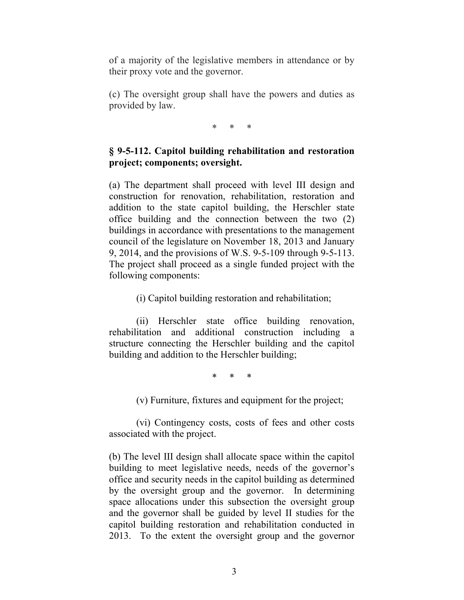of a majority of the legislative members in attendance or by their proxy vote and the governor.

(c) The oversight group shall have the powers and duties as provided by law.

\* \* \*

# **§ 9-5-112. Capitol building rehabilitation and restoration project; components; oversight.**

(a) The department shall proceed with level III design and construction for renovation, rehabilitation, restoration and addition to the state capitol building, the Herschler state office building and the connection between the two (2) buildings in accordance with presentations to the management council of the legislature on November 18, 2013 and January 9, 2014, and the provisions of W.S. 9-5-109 through 9-5-113. The project shall proceed as a single funded project with the following components:

(i) Capitol building restoration and rehabilitation;

(ii) Herschler state office building renovation, rehabilitation and additional construction including a structure connecting the Herschler building and the capitol building and addition to the Herschler building;

\* \* \*

(v) Furniture, fixtures and equipment for the project;

(vi) Contingency costs, costs of fees and other costs associated with the project.

(b) The level III design shall allocate space within the capitol building to meet legislative needs, needs of the governor's office and security needs in the capitol building as determined by the oversight group and the governor. In determining space allocations under this subsection the oversight group and the governor shall be guided by level II studies for the capitol building restoration and rehabilitation conducted in 2013. To the extent the oversight group and the governor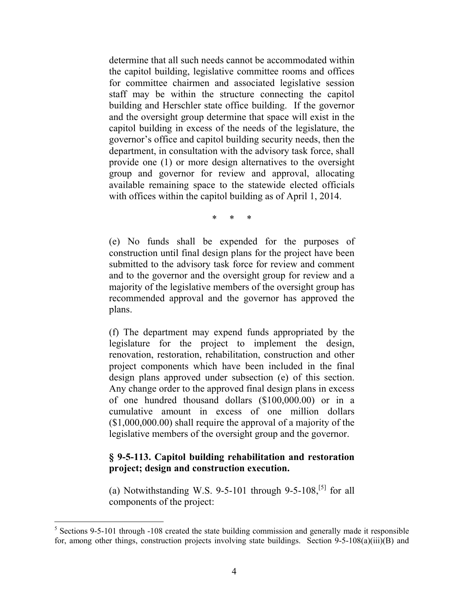determine that all such needs cannot be accommodated within the capitol building, legislative committee rooms and offices for committee chairmen and associated legislative session staff may be within the structure connecting the capitol building and Herschler state office building. If the governor and the oversight group determine that space will exist in the capitol building in excess of the needs of the legislature, the governor's office and capitol building security needs, then the department, in consultation with the advisory task force, shall provide one (1) or more design alternatives to the oversight group and governor for review and approval, allocating available remaining space to the statewide elected officials with offices within the capitol building as of April 1, 2014.

\* \* \*

(e) No funds shall be expended for the purposes of construction until final design plans for the project have been submitted to the advisory task force for review and comment and to the governor and the oversight group for review and a majority of the legislative members of the oversight group has recommended approval and the governor has approved the plans.

(f) The department may expend funds appropriated by the legislature for the project to implement the design, renovation, restoration, rehabilitation, construction and other project components which have been included in the final design plans approved under subsection (e) of this section. Any change order to the approved final design plans in excess of one hundred thousand dollars (\$100,000.00) or in a cumulative amount in excess of one million dollars (\$1,000,000.00) shall require the approval of a majority of the legislative members of the oversight group and the governor.

#### **§ 9-5-113. Capitol building rehabilitation and restoration project; design and construction execution.**

(a) Notwithstanding W.S. 9-5-101 through 9-5-108,<sup>[5]</sup> for all components of the project:

<sup>&</sup>lt;sup>5</sup> Sections 9-5-101 through -108 created the state building commission and generally made it responsible for, among other things, construction projects involving state buildings. Section 9-5-108(a)(iii)(B) and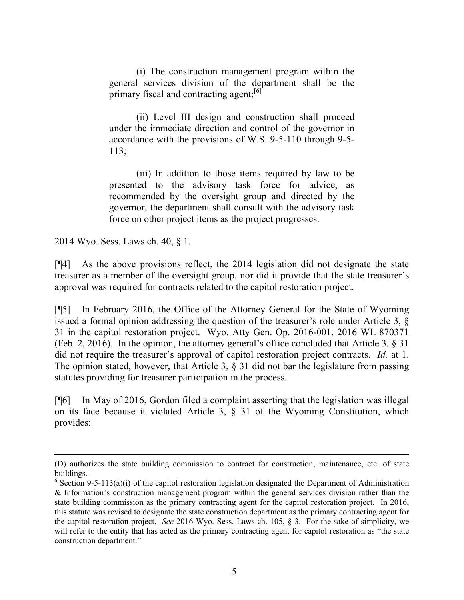(i) The construction management program within the general services division of the department shall be the primary fiscal and contracting agent;<sup>[6]</sup>

(ii) Level III design and construction shall proceed under the immediate direction and control of the governor in accordance with the provisions of W.S. 9-5-110 through 9-5- 113;

(iii) In addition to those items required by law to be presented to the advisory task force for advice, as recommended by the oversight group and directed by the governor, the department shall consult with the advisory task force on other project items as the project progresses.

2014 Wyo. Sess. Laws ch. 40, § 1.

 $\overline{a}$ 

[¶4] As the above provisions reflect, the 2014 legislation did not designate the state treasurer as a member of the oversight group, nor did it provide that the state treasurer's approval was required for contracts related to the capitol restoration project.

[¶5] In February 2016, the Office of the Attorney General for the State of Wyoming issued a formal opinion addressing the question of the treasurer's role under Article 3, § 31 in the capitol restoration project. Wyo. Atty Gen. Op. 2016-001, 2016 WL 870371 (Feb. 2, 2016). In the opinion, the attorney general's office concluded that Article 3, § 31 did not require the treasurer's approval of capitol restoration project contracts. *Id.* at 1. The opinion stated, however, that Article 3, § 31 did not bar the legislature from passing statutes providing for treasurer participation in the process.

[¶6] In May of 2016, Gordon filed a complaint asserting that the legislation was illegal on its face because it violated Article 3, § 31 of the Wyoming Constitution, which provides:

<sup>(</sup>D) authorizes the state building commission to contract for construction, maintenance, etc. of state buildings.

<sup>&</sup>lt;sup>6</sup> Section 9-5-113(a)(i) of the capitol restoration legislation designated the Department of Administration & Information's construction management program within the general services division rather than the state building commission as the primary contracting agent for the capitol restoration project. In 2016, this statute was revised to designate the state construction department as the primary contracting agent for the capitol restoration project. *See* 2016 Wyo. Sess. Laws ch. 105, § 3. For the sake of simplicity, we will refer to the entity that has acted as the primary contracting agent for capitol restoration as "the state construction department."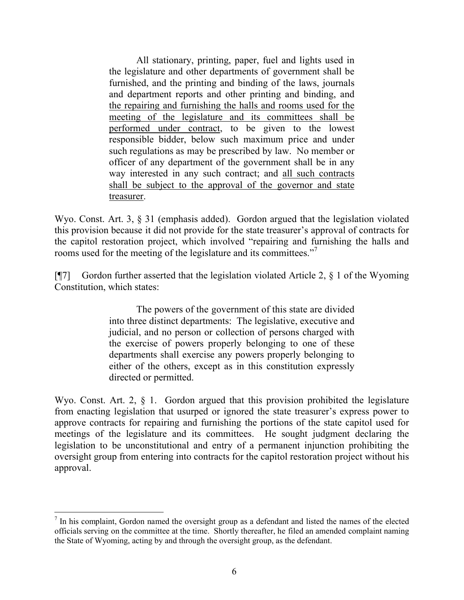All stationary, printing, paper, fuel and lights used in the legislature and other departments of government shall be furnished, and the printing and binding of the laws, journals and department reports and other printing and binding, and the repairing and furnishing the halls and rooms used for the meeting of the legislature and its committees shall be performed under contract, to be given to the lowest responsible bidder, below such maximum price and under such regulations as may be prescribed by law. No member or officer of any department of the government shall be in any way interested in any such contract; and all such contracts shall be subject to the approval of the governor and state treasurer.

Wyo. Const. Art. 3, § 31 (emphasis added). Gordon argued that the legislation violated this provision because it did not provide for the state treasurer's approval of contracts for the capitol restoration project, which involved "repairing and furnishing the halls and rooms used for the meeting of the legislature and its committees."<sup>7</sup>

[ $[$ ] Gordon further asserted that the legislation violated Article 2,  $\S$  1 of the Wyoming Constitution, which states:

> The powers of the government of this state are divided into three distinct departments: The legislative, executive and judicial, and no person or collection of persons charged with the exercise of powers properly belonging to one of these departments shall exercise any powers properly belonging to either of the others, except as in this constitution expressly directed or permitted.

Wyo. Const. Art. 2,  $\S$  1. Gordon argued that this provision prohibited the legislature from enacting legislation that usurped or ignored the state treasurer's express power to approve contracts for repairing and furnishing the portions of the state capitol used for meetings of the legislature and its committees. He sought judgment declaring the legislation to be unconstitutional and entry of a permanent injunction prohibiting the oversight group from entering into contracts for the capitol restoration project without his approval.

l

 $<sup>7</sup>$  In his complaint, Gordon named the oversight group as a defendant and listed the names of the elected</sup> officials serving on the committee at the time. Shortly thereafter, he filed an amended complaint naming the State of Wyoming, acting by and through the oversight group, as the defendant.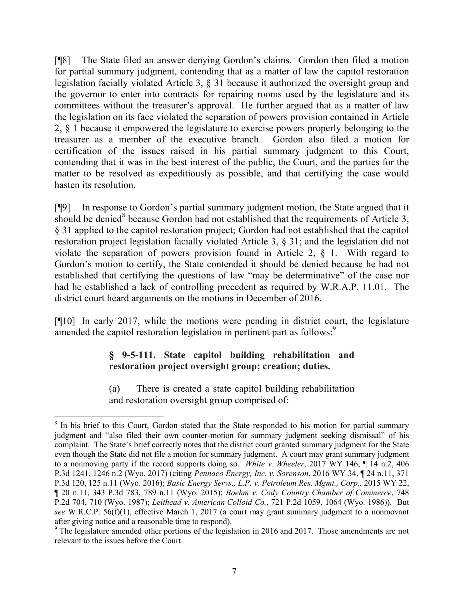[¶8] The State filed an answer denying Gordon's claims. Gordon then filed a motion for partial summary judgment, contending that as a matter of law the capitol restoration legislation facially violated Article 3, § 31 because it authorized the oversight group and the governor to enter into contracts for repairing rooms used by the legislature and its committees without the treasurer's approval. He further argued that as a matter of law the legislation on its face violated the separation of powers provision contained in Article 2, § 1 because it empowered the legislature to exercise powers properly belonging to the treasurer as a member of the executive branch. Gordon also filed a motion for certification of the issues raised in his partial summary judgment to this Court, contending that it was in the best interest of the public, the Court, and the parties for the matter to be resolved as expeditiously as possible, and that certifying the case would hasten its resolution.

[¶9] In response to Gordon's partial summary judgment motion, the State argued that it should be denied<sup>8</sup> because Gordon had not established that the requirements of Article 3, § 31 applied to the capitol restoration project; Gordon had not established that the capitol restoration project legislation facially violated Article 3, § 31; and the legislation did not violate the separation of powers provision found in Article 2, § 1. With regard to Gordon's motion to certify, the State contended it should be denied because he had not established that certifying the questions of law "may be determinative" of the case nor had he established a lack of controlling precedent as required by W.R.A.P. 11.01. The district court heard arguments on the motions in December of 2016.

[¶10] In early 2017, while the motions were pending in district court, the legislature amended the capitol restoration legislation in pertinent part as follows:<sup>9</sup>

# **§ 9-5-111. State capitol building rehabilitation and restoration project oversight group; creation; duties.**

(a) There is created a state capitol building rehabilitation and restoration oversight group comprised of:

 $\overline{a}$ 

<sup>&</sup>lt;sup>8</sup> In his brief to this Court, Gordon stated that the State responded to his motion for partial summary judgment and "also filed their own counter-motion for summary judgment seeking dismissal" of his complaint. The State's brief correctly notes that the district court granted summary judgment for the State even though the State did not file a motion for summary judgment. A court may grant summary judgment to a nonmoving party if the record supports doing so. *White v. Wheeler*, 2017 WY 146, ¶ 14 n.2, 406 P.3d 1241, 1246 n.2 (Wyo. 2017) (citing *Pennaco Energy, Inc. v. Sorenson*, 2016 WY 34, ¶ 24 n.11, 371 P.3d 120, 125 n.11 (Wyo. 2016); *Basic Energy Servs., L.P. v. Petroleum Res. Mgmt., Corp.,* 2015 WY 22, ¶ 20 n.11, 343 P.3d 783, 789 n.11 (Wyo. 2015); *Boehm v. Cody Country Chamber of Commerce*, 748 P.2d 704, 710 (Wyo. 1987); *Leithead v. American Colloid Co.*, 721 P.2d 1059, 1064 (Wyo. 1986)). But *see* W.R.C.P. 56(f)(1), effective March 1, 2017 (a court may grant summary judgment to a nonmovant after giving notice and a reasonable time to respond).

<sup>&</sup>lt;sup>9</sup> The legislature amended other portions of the legislation in 2016 and 2017. Those amendments are not relevant to the issues before the Court.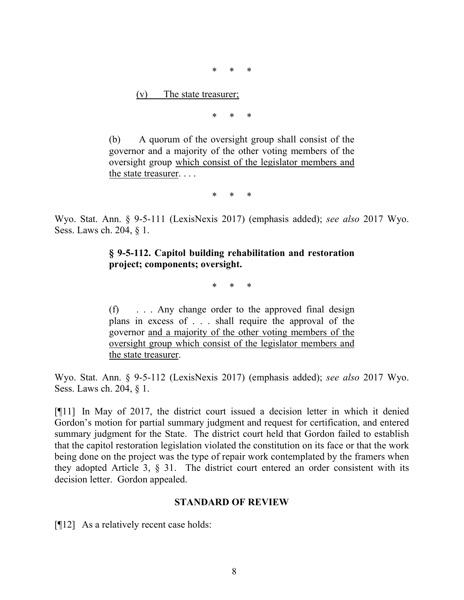\* \* \*

(v) The state treasurer;

\* \* \*

(b) A quorum of the oversight group shall consist of the governor and a majority of the other voting members of the oversight group which consist of the legislator members and the state treasurer. . . .

\* \* \*

Wyo. Stat. Ann. § 9-5-111 (LexisNexis 2017) (emphasis added); *see also* 2017 Wyo. Sess. Laws ch. 204, § 1.

## **§ 9-5-112. Capitol building rehabilitation and restoration project; components; oversight.**

\* \* \*

(f) . . . Any change order to the approved final design plans in excess of . . . shall require the approval of the governor and a majority of the other voting members of the oversight group which consist of the legislator members and the state treasurer.

Wyo. Stat. Ann. § 9-5-112 (LexisNexis 2017) (emphasis added); *see also* 2017 Wyo. Sess. Laws ch. 204, § 1.

[¶11] In May of 2017, the district court issued a decision letter in which it denied Gordon's motion for partial summary judgment and request for certification, and entered summary judgment for the State. The district court held that Gordon failed to establish that the capitol restoration legislation violated the constitution on its face or that the work being done on the project was the type of repair work contemplated by the framers when they adopted Article 3, § 31. The district court entered an order consistent with its decision letter. Gordon appealed.

#### **STANDARD OF REVIEW**

[¶12] As a relatively recent case holds: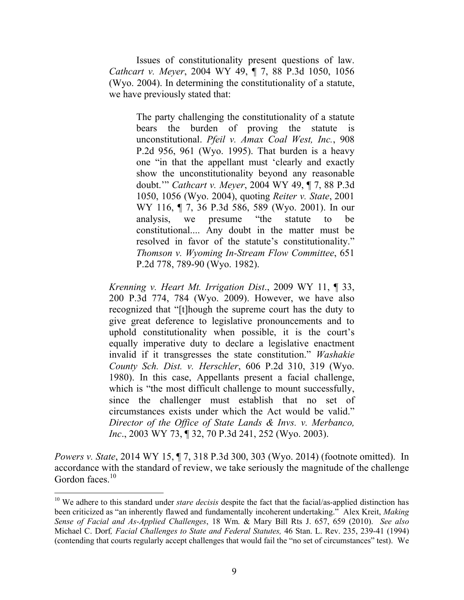Issues of constitutionality present questions of law. *Cathcart v. Meyer*, 2004 WY 49, ¶ 7, 88 P.3d 1050, 1056 (Wyo. 2004). In determining the constitutionality of a statute, we have previously stated that:

> The party challenging the constitutionality of a statute bears the burden of proving the statute is unconstitutional. *Pfeil v. Amax Coal West, Inc.*, 908 P.2d 956, 961 (Wyo. 1995). That burden is a heavy one "in that the appellant must 'clearly and exactly show the unconstitutionality beyond any reasonable doubt.'" *Cathcart v. Meyer*, 2004 WY 49, ¶ 7, 88 P.3d 1050, 1056 (Wyo. 2004), quoting *Reiter v. State*, 2001 WY 116, ¶ 7, 36 P.3d 586, 589 (Wyo. 2001). In our analysis, we presume "the statute to be constitutional.... Any doubt in the matter must be resolved in favor of the statute's constitutionality." *Thomson v. Wyoming In-Stream Flow Committee*, 651 P.2d 778, 789-90 (Wyo. 1982).

*Krenning v. Heart Mt. Irrigation Dist*., 2009 WY 11, ¶ 33, 200 P.3d 774, 784 (Wyo. 2009). However, we have also recognized that "[t]hough the supreme court has the duty to give great deference to legislative pronouncements and to uphold constitutionality when possible, it is the court's equally imperative duty to declare a legislative enactment invalid if it transgresses the state constitution." *Washakie County Sch. Dist. v. Herschler*, 606 P.2d 310, 319 (Wyo. 1980). In this case, Appellants present a facial challenge, which is "the most difficult challenge to mount successfully, since the challenger must establish that no set of circumstances exists under which the Act would be valid." *Director of the Office of State Lands & Invs. v. Merbanco, Inc*., 2003 WY 73, ¶ 32, 70 P.3d 241, 252 (Wyo. 2003).

*Powers v. State*, 2014 WY 15, ¶ 7, 318 P.3d 300, 303 (Wyo. 2014) (footnote omitted). In accordance with the standard of review, we take seriously the magnitude of the challenge Gordon faces. $10$ 

 $\overline{a}$ 

<sup>&</sup>lt;sup>10</sup> We adhere to this standard under *stare decisis* despite the fact that the facial/as-applied distinction has been criticized as "an inherently flawed and fundamentally incoherent undertaking." Alex Kreit, *Making Sense of Facial and As-Applied Challenges*, 18 Wm. & Mary Bill Rts J. 657, 659 (2010). *See also* Michael C. Dorf*, Facial Challenges to State and Federal Statutes,* 46 Stan. L. Rev. 235, 239-41 (1994) (contending that courts regularly accept challenges that would fail the "no set of circumstances" test). We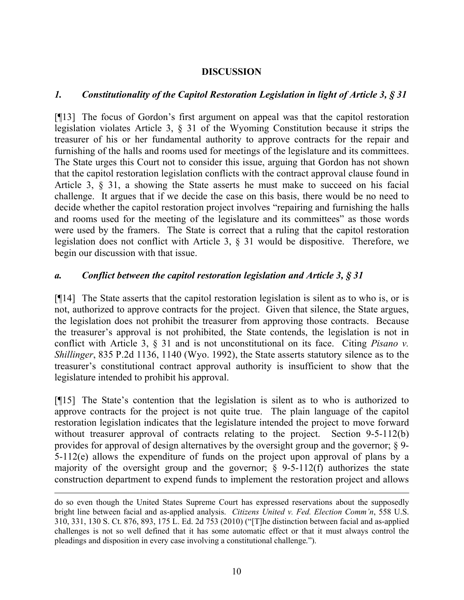### **DISCUSSION**

### *1. Constitutionality of the Capitol Restoration Legislation in light of Article 3, § 31*

[¶13] The focus of Gordon's first argument on appeal was that the capitol restoration legislation violates Article 3, § 31 of the Wyoming Constitution because it strips the treasurer of his or her fundamental authority to approve contracts for the repair and furnishing of the halls and rooms used for meetings of the legislature and its committees. The State urges this Court not to consider this issue, arguing that Gordon has not shown that the capitol restoration legislation conflicts with the contract approval clause found in Article 3, § 31, a showing the State asserts he must make to succeed on his facial challenge. It argues that if we decide the case on this basis, there would be no need to decide whether the capitol restoration project involves "repairing and furnishing the halls and rooms used for the meeting of the legislature and its committees" as those words were used by the framers. The State is correct that a ruling that the capitol restoration legislation does not conflict with Article 3, § 31 would be dispositive. Therefore, we begin our discussion with that issue.

#### *a. Conflict between the capitol restoration legislation and Article 3, § 31*

[¶14] The State asserts that the capitol restoration legislation is silent as to who is, or is not, authorized to approve contracts for the project. Given that silence, the State argues, the legislation does not prohibit the treasurer from approving those contracts. Because the treasurer's approval is not prohibited, the State contends, the legislation is not in conflict with Article 3, § 31 and is not unconstitutional on its face. Citing *Pisano v. Shillinger*, 835 P.2d 1136, 1140 (Wyo. 1992), the State asserts statutory silence as to the treasurer's constitutional contract approval authority is insufficient to show that the legislature intended to prohibit his approval.

[¶15] The State's contention that the legislation is silent as to who is authorized to approve contracts for the project is not quite true. The plain language of the capitol restoration legislation indicates that the legislature intended the project to move forward without treasurer approval of contracts relating to the project. Section 9-5-112(b) provides for approval of design alternatives by the oversight group and the governor; § 9- 5-112(e) allows the expenditure of funds on the project upon approval of plans by a majority of the oversight group and the governor;  $\S$  9-5-112(f) authorizes the state construction department to expend funds to implement the restoration project and allows

 $\overline{a}$ 

do so even though the United States Supreme Court has expressed reservations about the supposedly bright line between facial and as-applied analysis. *Citizens United v. Fed. Election Comm'n*, 558 U.S. 310, 331, 130 S. Ct. 876, 893, 175 L. Ed. 2d 753 (2010) ("[T]he distinction between facial and as-applied challenges is not so well defined that it has some automatic effect or that it must always control the pleadings and disposition in every case involving a constitutional challenge.").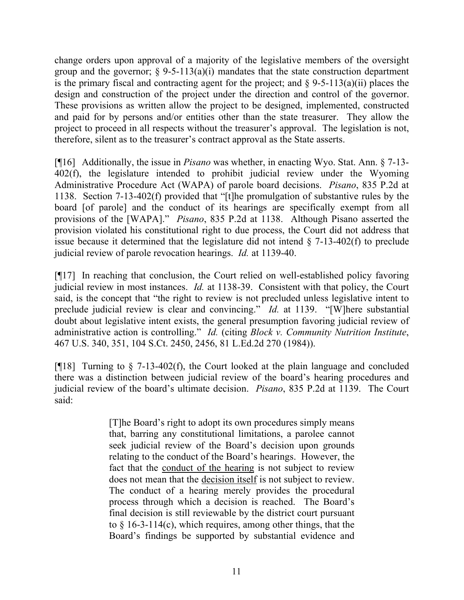change orders upon approval of a majority of the legislative members of the oversight group and the governor;  $\S$  9-5-113(a)(i) mandates that the state construction department is the primary fiscal and contracting agent for the project; and  $\S$  9-5-113(a)(ii) places the design and construction of the project under the direction and control of the governor. These provisions as written allow the project to be designed, implemented, constructed and paid for by persons and/or entities other than the state treasurer. They allow the project to proceed in all respects without the treasurer's approval. The legislation is not, therefore, silent as to the treasurer's contract approval as the State asserts.

[¶16] Additionally, the issue in *Pisano* was whether, in enacting Wyo. Stat. Ann. § 7-13- 402(f), the legislature intended to prohibit judicial review under the Wyoming Administrative Procedure Act (WAPA) of parole board decisions. *Pisano*, 835 P.2d at 1138. Section 7-13-402(f) provided that "[t]he promulgation of substantive rules by the board [of parole] and the conduct of its hearings are specifically exempt from all provisions of the [WAPA]." *Pisano*, 835 P.2d at 1138. Although Pisano asserted the provision violated his constitutional right to due process, the Court did not address that issue because it determined that the legislature did not intend  $\S$  7-13-402(f) to preclude judicial review of parole revocation hearings. *Id.* at 1139-40.

[¶17] In reaching that conclusion, the Court relied on well-established policy favoring judicial review in most instances. *Id.* at 1138-39. Consistent with that policy, the Court said, is the concept that "the right to review is not precluded unless legislative intent to preclude judicial review is clear and convincing." *Id.* at 1139. "[W]here substantial doubt about legislative intent exists, the general presumption favoring judicial review of administrative action is controlling." *Id.* (citing *Block v. Community Nutrition Institute*, 467 U.S. 340, 351, 104 S.Ct. 2450, 2456, 81 L.Ed.2d 270 (1984)).

[¶18] Turning to § 7-13-402(f), the Court looked at the plain language and concluded there was a distinction between judicial review of the board's hearing procedures and judicial review of the board's ultimate decision. *Pisano*, 835 P.2d at 1139. The Court said:

> [T]he Board's right to adopt its own procedures simply means that, barring any constitutional limitations, a parolee cannot seek judicial review of the Board's decision upon grounds relating to the conduct of the Board's hearings. However, the fact that the conduct of the hearing is not subject to review does not mean that the decision itself is not subject to review. The conduct of a hearing merely provides the procedural process through which a decision is reached. The Board's final decision is still reviewable by the district court pursuant to § 16-3-114(c), which requires, among other things, that the Board's findings be supported by substantial evidence and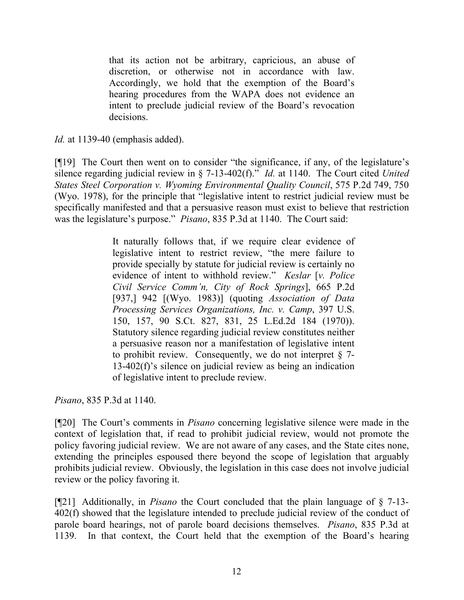that its action not be arbitrary, capricious, an abuse of discretion, or otherwise not in accordance with law. Accordingly, we hold that the exemption of the Board's hearing procedures from the WAPA does not evidence an intent to preclude judicial review of the Board's revocation decisions.

*Id.* at 1139-40 (emphasis added).

[¶19] The Court then went on to consider "the significance, if any, of the legislature's silence regarding judicial review in § 7-13-402(f)." *Id.* at 1140. The Court cited *United States Steel Corporation v. Wyoming Environmental Quality Council*, 575 P.2d 749, 750 (Wyo. 1978), for the principle that "legislative intent to restrict judicial review must be specifically manifested and that a persuasive reason must exist to believe that restriction was the legislature's purpose." *Pisano*, 835 P.3d at 1140. The Court said:

> It naturally follows that, if we require clear evidence of legislative intent to restrict review, "the mere failure to provide specially by statute for judicial review is certainly no evidence of intent to withhold review." *Keslar* [*v. Police Civil Service Comm'n, City of Rock Springs*], 665 P.2d [937,] 942 [(Wyo. 1983)] (quoting *Association of Data Processing Services Organizations, Inc. v. Camp*, 397 U.S. 150, 157, 90 S.Ct. 827, 831, 25 L.Ed.2d 184 (1970)). Statutory silence regarding judicial review constitutes neither a persuasive reason nor a manifestation of legislative intent to prohibit review. Consequently, we do not interpret  $\S$  7-13-402(f)'s silence on judicial review as being an indication of legislative intent to preclude review.

*Pisano*, 835 P.3d at 1140.

[¶20] The Court's comments in *Pisano* concerning legislative silence were made in the context of legislation that, if read to prohibit judicial review, would not promote the policy favoring judicial review. We are not aware of any cases, and the State cites none, extending the principles espoused there beyond the scope of legislation that arguably prohibits judicial review. Obviously, the legislation in this case does not involve judicial review or the policy favoring it.

[¶21] Additionally, in *Pisano* the Court concluded that the plain language of § 7-13- 402(f) showed that the legislature intended to preclude judicial review of the conduct of parole board hearings, not of parole board decisions themselves. *Pisano*, 835 P.3d at 1139. In that context, the Court held that the exemption of the Board's hearing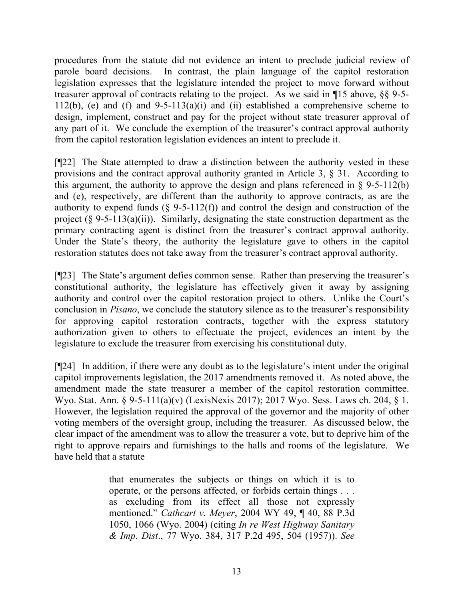procedures from the statute did not evidence an intent to preclude judicial review of parole board decisions. In contrast, the plain language of the capitol restoration legislation expresses that the legislature intended the project to move forward without treasurer approval of contracts relating to the project. As we said in ¶15 above, §§ 9-5- 112(b), (e) and (f) and 9-5-113(a)(i) and (ii) established a comprehensive scheme to design, implement, construct and pay for the project without state treasurer approval of any part of it. We conclude the exemption of the treasurer's contract approval authority from the capitol restoration legislation evidences an intent to preclude it.

[¶22] The State attempted to draw a distinction between the authority vested in these provisions and the contract approval authority granted in Article 3, § 31. According to this argument, the authority to approve the design and plans referenced in  $\S$  9-5-112(b) and (e), respectively, are different than the authority to approve contracts, as are the authority to expend funds  $(\S$  9-5-112(f)) and control the design and construction of the project  $(\S 9-5-113(a)(ii))$ . Similarly, designating the state construction department as the primary contracting agent is distinct from the treasurer's contract approval authority. Under the State's theory, the authority the legislature gave to others in the capitol restoration statutes does not take away from the treasurer's contract approval authority.

[¶23] The State's argument defies common sense. Rather than preserving the treasurer's constitutional authority, the legislature has effectively given it away by assigning authority and control over the capitol restoration project to others. Unlike the Court's conclusion in *Pisano*, we conclude the statutory silence as to the treasurer's responsibility for approving capitol restoration contracts, together with the express statutory authorization given to others to effectuate the project, evidences an intent by the legislature to exclude the treasurer from exercising his constitutional duty.

[¶24] In addition, if there were any doubt as to the legislature's intent under the original capitol improvements legislation, the 2017 amendments removed it. As noted above, the amendment made the state treasurer a member of the capitol restoration committee. Wyo. Stat. Ann. § 9-5-111(a)(v) (LexisNexis 2017); 2017 Wyo. Sess. Laws ch. 204, § 1. However, the legislation required the approval of the governor and the majority of other voting members of the oversight group, including the treasurer. As discussed below, the clear impact of the amendment was to allow the treasurer a vote, but to deprive him of the right to approve repairs and furnishings to the halls and rooms of the legislature. We have held that a statute

> that enumerates the subjects or things on which it is to operate, or the persons affected, or forbids certain things . . . as excluding from its effect all those not expressly mentioned." *Cathcart v. Meyer*, 2004 WY 49, ¶ 40, 88 P.3d 1050, 1066 (Wyo. 2004) (citing *In re West Highway Sanitary & Imp. Dist*., 77 Wyo. 384, 317 P.2d 495, 504 (1957)). *See*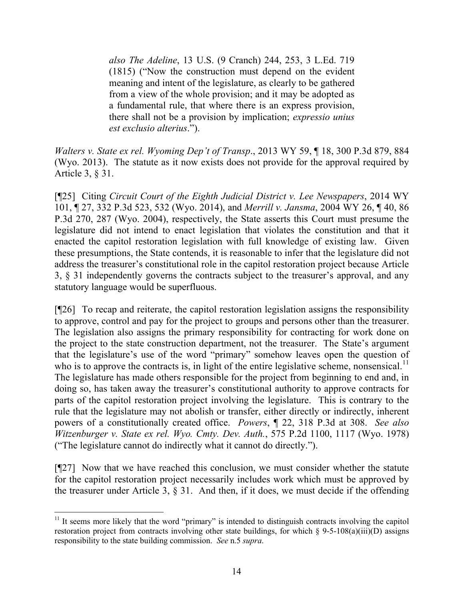*also The Adeline*, 13 U.S. (9 Cranch) 244, 253, 3 L.Ed. 719 (1815) ("Now the construction must depend on the evident meaning and intent of the legislature, as clearly to be gathered from a view of the whole provision; and it may be adopted as a fundamental rule, that where there is an express provision, there shall not be a provision by implication; *expressio unius est exclusio alterius*.").

*Walters v. State ex rel. Wyoming Dep't of Transp*., 2013 WY 59, ¶ 18, 300 P.3d 879, 884 (Wyo. 2013). The statute as it now exists does not provide for the approval required by Article 3, § 31.

[¶25] Citing *Circuit Court of the Eighth Judicial District v. Lee Newspapers*, 2014 WY 101, ¶ 27, 332 P.3d 523, 532 (Wyo. 2014), and *Merrill v. Jansma*, 2004 WY 26, ¶ 40, 86 P.3d 270, 287 (Wyo. 2004), respectively, the State asserts this Court must presume the legislature did not intend to enact legislation that violates the constitution and that it enacted the capitol restoration legislation with full knowledge of existing law. Given these presumptions, the State contends, it is reasonable to infer that the legislature did not address the treasurer's constitutional role in the capitol restoration project because Article 3, § 31 independently governs the contracts subject to the treasurer's approval, and any statutory language would be superfluous.

[¶26] To recap and reiterate, the capitol restoration legislation assigns the responsibility to approve, control and pay for the project to groups and persons other than the treasurer. The legislation also assigns the primary responsibility for contracting for work done on the project to the state construction department, not the treasurer. The State's argument that the legislature's use of the word "primary" somehow leaves open the question of who is to approve the contracts is, in light of the entire legislative scheme, nonsensical.<sup>11</sup> The legislature has made others responsible for the project from beginning to end and, in doing so, has taken away the treasurer's constitutional authority to approve contracts for parts of the capitol restoration project involving the legislature. This is contrary to the rule that the legislature may not abolish or transfer, either directly or indirectly, inherent powers of a constitutionally created office. *Powers*, ¶ 22, 318 P.3d at 308. *See also Witzenburger v. State ex rel. Wyo. Cmty. Dev. Auth.*, 575 P.2d 1100, 1117 (Wyo. 1978) ("The legislature cannot do indirectly what it cannot do directly.").

[¶27] Now that we have reached this conclusion, we must consider whether the statute for the capitol restoration project necessarily includes work which must be approved by the treasurer under Article 3, § 31. And then, if it does, we must decide if the offending

l

 $11$  It seems more likely that the word "primary" is intended to distinguish contracts involving the capitol restoration project from contracts involving other state buildings, for which § 9-5-108(a)(iii)(D) assigns responsibility to the state building commission. *See* n.5 *supra*.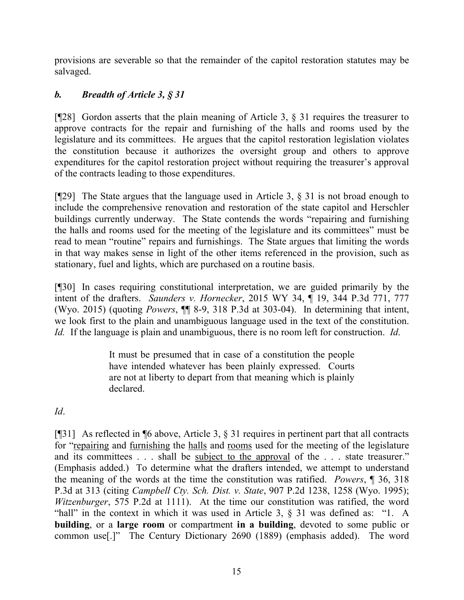provisions are severable so that the remainder of the capitol restoration statutes may be salvaged.

# *b. Breadth of Article 3, § 31*

[¶28] Gordon asserts that the plain meaning of Article 3, § 31 requires the treasurer to approve contracts for the repair and furnishing of the halls and rooms used by the legislature and its committees. He argues that the capitol restoration legislation violates the constitution because it authorizes the oversight group and others to approve expenditures for the capitol restoration project without requiring the treasurer's approval of the contracts leading to those expenditures.

[¶29] The State argues that the language used in Article 3, § 31 is not broad enough to include the comprehensive renovation and restoration of the state capitol and Herschler buildings currently underway. The State contends the words "repairing and furnishing the halls and rooms used for the meeting of the legislature and its committees" must be read to mean "routine" repairs and furnishings. The State argues that limiting the words in that way makes sense in light of the other items referenced in the provision, such as stationary, fuel and lights, which are purchased on a routine basis.

[¶30] In cases requiring constitutional interpretation, we are guided primarily by the intent of the drafters. *Saunders v. Hornecker*, 2015 WY 34, ¶ 19, 344 P.3d 771, 777 (Wyo. 2015) (quoting *Powers*, ¶¶ 8-9, 318 P.3d at 303-04). In determining that intent, we look first to the plain and unambiguous language used in the text of the constitution. *Id.* If the language is plain and unambiguous, there is no room left for construction. *Id*.

> It must be presumed that in case of a constitution the people have intended whatever has been plainly expressed. Courts are not at liberty to depart from that meaning which is plainly declared.

*Id*.

[¶31] As reflected in ¶6 above, Article 3, § 31 requires in pertinent part that all contracts for "repairing and furnishing the halls and rooms used for the meeting of the legislature and its committees . . . shall be subject to the approval of the . . . state treasurer." (Emphasis added.) To determine what the drafters intended, we attempt to understand the meaning of the words at the time the constitution was ratified. *Powers*, ¶ 36, 318 P.3d at 313 (citing *Campbell Cty. Sch. Dist. v. State*, 907 P.2d 1238, 1258 (Wyo. 1995); *Witzenburger*, 575 P.2d at 1111). At the time our constitution was ratified, the word "hall" in the context in which it was used in Article 3, § 31 was defined as: "1. A **building**, or a **large room** or compartment **in a building**, devoted to some public or common use[.]" The Century Dictionary 2690 (1889) (emphasis added). The word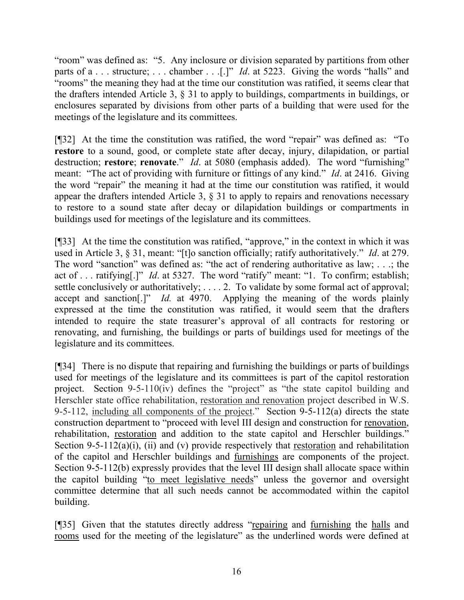"room" was defined as: "5. Any inclosure or division separated by partitions from other parts of a . . . structure; . . . chamber . . .[.]" *Id*. at 5223. Giving the words "halls" and "rooms" the meaning they had at the time our constitution was ratified, it seems clear that the drafters intended Article 3, § 31 to apply to buildings, compartments in buildings, or enclosures separated by divisions from other parts of a building that were used for the meetings of the legislature and its committees.

[¶32] At the time the constitution was ratified, the word "repair" was defined as: "To **restore** to a sound, good, or complete state after decay, injury, dilapidation, or partial destruction; **restore**; **renovate**." *Id*. at 5080 (emphasis added). The word "furnishing" meant: "The act of providing with furniture or fittings of any kind." *Id*. at 2416. Giving the word "repair" the meaning it had at the time our constitution was ratified, it would appear the drafters intended Article 3, § 31 to apply to repairs and renovations necessary to restore to a sound state after decay or dilapidation buildings or compartments in buildings used for meetings of the legislature and its committees.

[¶33] At the time the constitution was ratified, "approve," in the context in which it was used in Article 3, § 31, meant: "[t]o sanction officially; ratify authoritatively." *Id*. at 279. The word "sanction" was defined as: "the act of rendering authoritative as law; . . .; the act of . . . ratifying[.]" *Id*. at 5327. The word "ratify" meant: "1. To confirm; establish; settle conclusively or authoritatively; ... . 2. To validate by some formal act of approval; accept and sanction[.]" *Id.* at 4970. Applying the meaning of the words plainly expressed at the time the constitution was ratified, it would seem that the drafters intended to require the state treasurer's approval of all contracts for restoring or renovating, and furnishing, the buildings or parts of buildings used for meetings of the legislature and its committees.

[¶34] There is no dispute that repairing and furnishing the buildings or parts of buildings used for meetings of the legislature and its committees is part of the capitol restoration project. Section 9-5-110(iv) defines the "project" as "the state capitol building and Herschler state office rehabilitation, restoration and renovation project described in W.S. 9-5-112, including all components of the project." Section 9-5-112(a) directs the state construction department to "proceed with level III design and construction for renovation, rehabilitation, restoration and addition to the state capitol and Herschler buildings." Section 9-5-112(a)(i), (ii) and (v) provide respectively that restoration and rehabilitation of the capitol and Herschler buildings and furnishings are components of the project. Section 9-5-112(b) expressly provides that the level III design shall allocate space within the capitol building "to meet legislative needs" unless the governor and oversight committee determine that all such needs cannot be accommodated within the capitol building.

[¶35] Given that the statutes directly address "repairing and furnishing the halls and rooms used for the meeting of the legislature" as the underlined words were defined at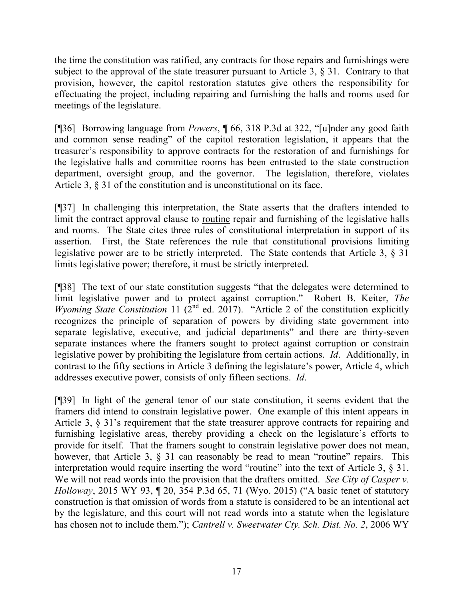the time the constitution was ratified, any contracts for those repairs and furnishings were subject to the approval of the state treasurer pursuant to Article 3, § 31. Contrary to that provision, however, the capitol restoration statutes give others the responsibility for effectuating the project, including repairing and furnishing the halls and rooms used for meetings of the legislature.

[¶36] Borrowing language from *Powers*, ¶ 66, 318 P.3d at 322, "[u]nder any good faith and common sense reading" of the capitol restoration legislation, it appears that the treasurer's responsibility to approve contracts for the restoration of and furnishings for the legislative halls and committee rooms has been entrusted to the state construction department, oversight group, and the governor. The legislation, therefore, violates Article 3, § 31 of the constitution and is unconstitutional on its face.

[¶37] In challenging this interpretation, the State asserts that the drafters intended to limit the contract approval clause to routine repair and furnishing of the legislative halls and rooms. The State cites three rules of constitutional interpretation in support of its assertion. First, the State references the rule that constitutional provisions limiting legislative power are to be strictly interpreted. The State contends that Article 3, § 31 limits legislative power; therefore, it must be strictly interpreted.

[¶38] The text of our state constitution suggests "that the delegates were determined to limit legislative power and to protect against corruption." Robert B. Keiter, *The Wyoming State Constitution* 11 ( $2^{nd}$  ed. 2017). "Article 2 of the constitution explicitly recognizes the principle of separation of powers by dividing state government into separate legislative, executive, and judicial departments" and there are thirty-seven separate instances where the framers sought to protect against corruption or constrain legislative power by prohibiting the legislature from certain actions. *Id*. Additionally, in contrast to the fifty sections in Article 3 defining the legislature's power, Article 4, which addresses executive power, consists of only fifteen sections. *Id*.

[¶39] In light of the general tenor of our state constitution, it seems evident that the framers did intend to constrain legislative power. One example of this intent appears in Article 3, § 31's requirement that the state treasurer approve contracts for repairing and furnishing legislative areas, thereby providing a check on the legislature's efforts to provide for itself. That the framers sought to constrain legislative power does not mean, however, that Article 3, § 31 can reasonably be read to mean "routine" repairs. This interpretation would require inserting the word "routine" into the text of Article 3, § 31. We will not read words into the provision that the drafters omitted. *See City of Casper v. Holloway*, 2015 WY 93, ¶ 20, 354 P.3d 65, 71 (Wyo. 2015) ("A basic tenet of statutory construction is that omission of words from a statute is considered to be an intentional act by the legislature, and this court will not read words into a statute when the legislature has chosen not to include them."); *Cantrell v. Sweetwater Cty. Sch. Dist. No. 2*, 2006 WY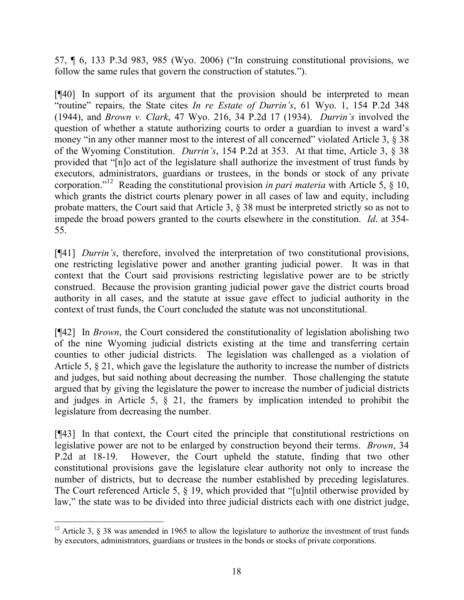57, ¶ 6, 133 P.3d 983, 985 (Wyo. 2006) ("In construing constitutional provisions, we follow the same rules that govern the construction of statutes.").

[¶40] In support of its argument that the provision should be interpreted to mean "routine" repairs, the State cites *In re Estate of Durrin's*, 61 Wyo. 1, 154 P.2d 348 (1944), and *Brown v. Clark*, 47 Wyo. 216, 34 P.2d 17 (1934). *Durrin's* involved the question of whether a statute authorizing courts to order a guardian to invest a ward's money "in any other manner most to the interest of all concerned" violated Article 3, § 38 of the Wyoming Constitution. *Durrin's*, 154 P.2d at 353. At that time, Article 3, § 38 provided that "[n]o act of the legislature shall authorize the investment of trust funds by executors, administrators, guardians or trustees, in the bonds or stock of any private corporation."<sup>12</sup> Reading the constitutional provision *in pari materia* with Article 5, § 10, which grants the district courts plenary power in all cases of law and equity, including probate matters, the Court said that Article 3, § 38 must be interpreted strictly so as not to impede the broad powers granted to the courts elsewhere in the constitution. *Id*. at 354- 55.

[¶41] *Durrin's*, therefore, involved the interpretation of two constitutional provisions, one restricting legislative power and another granting judicial power. It was in that context that the Court said provisions restricting legislative power are to be strictly construed. Because the provision granting judicial power gave the district courts broad authority in all cases, and the statute at issue gave effect to judicial authority in the context of trust funds, the Court concluded the statute was not unconstitutional.

[¶42] In *Brown*, the Court considered the constitutionality of legislation abolishing two of the nine Wyoming judicial districts existing at the time and transferring certain counties to other judicial districts. The legislation was challenged as a violation of Article 5, § 21, which gave the legislature the authority to increase the number of districts and judges, but said nothing about decreasing the number. Those challenging the statute argued that by giving the legislature the power to increase the number of judicial districts and judges in Article 5, § 21, the framers by implication intended to prohibit the legislature from decreasing the number.

[¶43] In that context, the Court cited the principle that constitutional restrictions on legislative power are not to be enlarged by construction beyond their terms. *Brown*, 34 P.2d at 18-19. However, the Court upheld the statute, finding that two other constitutional provisions gave the legislature clear authority not only to increase the number of districts, but to decrease the number established by preceding legislatures. The Court referenced Article 5, § 19, which provided that "[u]ntil otherwise provided by law," the state was to be divided into three judicial districts each with one district judge,

<sup>&</sup>lt;sup>12</sup> Article 3,  $\S$  38 was amended in 1965 to allow the legislature to authorize the investment of trust funds by executors, administrators, guardians or trustees in the bonds or stocks of private corporations.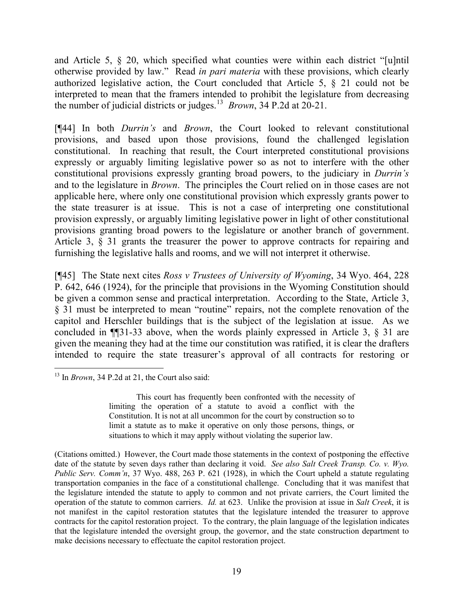and Article 5, § 20, which specified what counties were within each district "[u]ntil otherwise provided by law." Read *in pari materia* with these provisions, which clearly authorized legislative action, the Court concluded that Article 5, § 21 could not be interpreted to mean that the framers intended to prohibit the legislature from decreasing the number of judicial districts or judges.<sup>13</sup> *Brown*, 34 P.2d at 20-21.

[¶44] In both *Durrin's* and *Brown*, the Court looked to relevant constitutional provisions, and based upon those provisions, found the challenged legislation constitutional. In reaching that result, the Court interpreted constitutional provisions expressly or arguably limiting legislative power so as not to interfere with the other constitutional provisions expressly granting broad powers, to the judiciary in *Durrin's* and to the legislature in *Brown*. The principles the Court relied on in those cases are not applicable here, where only one constitutional provision which expressly grants power to the state treasurer is at issue. This is not a case of interpreting one constitutional provision expressly, or arguably limiting legislative power in light of other constitutional provisions granting broad powers to the legislature or another branch of government. Article 3, § 31 grants the treasurer the power to approve contracts for repairing and furnishing the legislative halls and rooms, and we will not interpret it otherwise.

[¶45] The State next cites *Ross v Trustees of University of Wyoming*, 34 Wyo. 464, 228 P. 642, 646 (1924), for the principle that provisions in the Wyoming Constitution should be given a common sense and practical interpretation. According to the State, Article 3, § 31 must be interpreted to mean "routine" repairs, not the complete renovation of the capitol and Herschler buildings that is the subject of the legislation at issue. As we concluded in ¶¶31-33 above, when the words plainly expressed in Article 3, § 31 are given the meaning they had at the time our constitution was ratified, it is clear the drafters intended to require the state treasurer's approval of all contracts for restoring or

This court has frequently been confronted with the necessity of limiting the operation of a statute to avoid a conflict with the Constitution. It is not at all uncommon for the court by construction so to limit a statute as to make it operative on only those persons, things, or situations to which it may apply without violating the superior law.

 $\overline{a}$ <sup>13</sup> In *Brown*, 34 P.2d at 21, the Court also said:

<sup>(</sup>Citations omitted.) However, the Court made those statements in the context of postponing the effective date of the statute by seven days rather than declaring it void. *See also Salt Creek Transp. Co. v. Wyo. Public Serv. Comm'n*, 37 Wyo. 488, 263 P. 621 (1928), in which the Court upheld a statute regulating transportation companies in the face of a constitutional challenge. Concluding that it was manifest that the legislature intended the statute to apply to common and not private carriers, the Court limited the operation of the statute to common carriers. *Id.* at 623. Unlike the provision at issue in *Salt Creek*, it is not manifest in the capitol restoration statutes that the legislature intended the treasurer to approve contracts for the capitol restoration project. To the contrary, the plain language of the legislation indicates that the legislature intended the oversight group, the governor, and the state construction department to make decisions necessary to effectuate the capitol restoration project.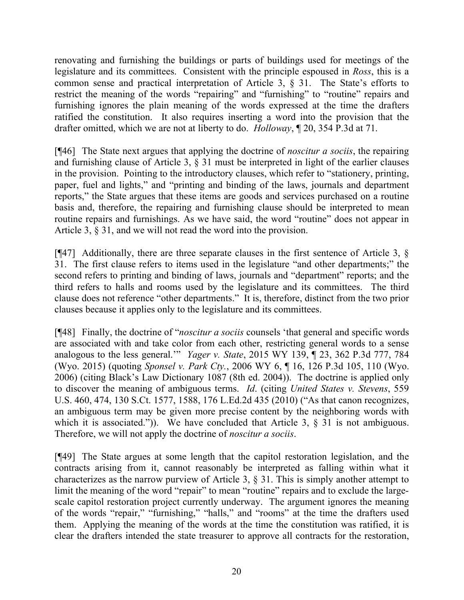renovating and furnishing the buildings or parts of buildings used for meetings of the legislature and its committees. Consistent with the principle espoused in *Ross*, this is a common sense and practical interpretation of Article 3, § 31. The State's efforts to restrict the meaning of the words "repairing" and "furnishing" to "routine" repairs and furnishing ignores the plain meaning of the words expressed at the time the drafters ratified the constitution. It also requires inserting a word into the provision that the drafter omitted, which we are not at liberty to do. *Holloway*, ¶ 20, 354 P.3d at 71.

[¶46] The State next argues that applying the doctrine of *noscitur a sociis*, the repairing and furnishing clause of Article 3, § 31 must be interpreted in light of the earlier clauses in the provision. Pointing to the introductory clauses, which refer to "stationery, printing, paper, fuel and lights," and "printing and binding of the laws, journals and department reports," the State argues that these items are goods and services purchased on a routine basis and, therefore, the repairing and furnishing clause should be interpreted to mean routine repairs and furnishings. As we have said, the word "routine" does not appear in Article 3, § 31, and we will not read the word into the provision.

[¶47] Additionally, there are three separate clauses in the first sentence of Article 3, § 31. The first clause refers to items used in the legislature "and other departments;" the second refers to printing and binding of laws, journals and "department" reports; and the third refers to halls and rooms used by the legislature and its committees. The third clause does not reference "other departments." It is, therefore, distinct from the two prior clauses because it applies only to the legislature and its committees.

[¶48] Finally, the doctrine of "*noscitur a sociis* counsels 'that general and specific words are associated with and take color from each other, restricting general words to a sense analogous to the less general.'" *Yager v. State*, 2015 WY 139, ¶ 23, 362 P.3d 777, 784 (Wyo. 2015) (quoting *Sponsel v. Park Cty.*, 2006 WY 6, ¶ 16, 126 P.3d 105, 110 (Wyo. 2006) (citing Black's Law Dictionary 1087 (8th ed. 2004)). The doctrine is applied only to discover the meaning of ambiguous terms. *Id*. (citing *United States v. Stevens*, 559 U.S. 460, 474, 130 S.Ct. 1577, 1588, 176 L.Ed.2d 435 (2010) ("As that canon recognizes, an ambiguous term may be given more precise content by the neighboring words with which it is associated.")). We have concluded that Article 3,  $\S$  31 is not ambiguous. Therefore, we will not apply the doctrine of *noscitur a sociis*.

[¶49] The State argues at some length that the capitol restoration legislation, and the contracts arising from it, cannot reasonably be interpreted as falling within what it characterizes as the narrow purview of Article 3, § 31. This is simply another attempt to limit the meaning of the word "repair" to mean "routine" repairs and to exclude the largescale capitol restoration project currently underway. The argument ignores the meaning of the words "repair," "furnishing," "halls," and "rooms" at the time the drafters used them. Applying the meaning of the words at the time the constitution was ratified, it is clear the drafters intended the state treasurer to approve all contracts for the restoration,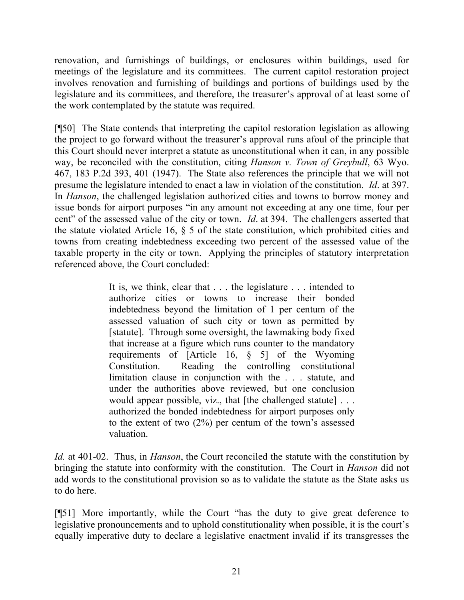renovation, and furnishings of buildings, or enclosures within buildings, used for meetings of the legislature and its committees. The current capitol restoration project involves renovation and furnishing of buildings and portions of buildings used by the legislature and its committees, and therefore, the treasurer's approval of at least some of the work contemplated by the statute was required.

[¶50] The State contends that interpreting the capitol restoration legislation as allowing the project to go forward without the treasurer's approval runs afoul of the principle that this Court should never interpret a statute as unconstitutional when it can, in any possible way, be reconciled with the constitution, citing *Hanson v. Town of Greybull*, 63 Wyo. 467, 183 P.2d 393, 401 (1947). The State also references the principle that we will not presume the legislature intended to enact a law in violation of the constitution. *Id*. at 397. In *Hanson*, the challenged legislation authorized cities and towns to borrow money and issue bonds for airport purposes "in any amount not exceeding at any one time, four per cent" of the assessed value of the city or town. *Id*. at 394. The challengers asserted that the statute violated Article 16, § 5 of the state constitution, which prohibited cities and towns from creating indebtedness exceeding two percent of the assessed value of the taxable property in the city or town. Applying the principles of statutory interpretation referenced above, the Court concluded:

> It is, we think, clear that . . . the legislature . . . intended to authorize cities or towns to increase their bonded indebtedness beyond the limitation of 1 per centum of the assessed valuation of such city or town as permitted by [statute]. Through some oversight, the lawmaking body fixed that increase at a figure which runs counter to the mandatory requirements of [Article 16, § 5] of the Wyoming Constitution. Reading the controlling constitutional limitation clause in conjunction with the . . . statute, and under the authorities above reviewed, but one conclusion would appear possible, viz., that [the challenged statute] . . . authorized the bonded indebtedness for airport purposes only to the extent of two (2%) per centum of the town's assessed valuation.

*Id.* at 401-02. Thus, in *Hanson*, the Court reconciled the statute with the constitution by bringing the statute into conformity with the constitution. The Court in *Hanson* did not add words to the constitutional provision so as to validate the statute as the State asks us to do here.

[¶51] More importantly, while the Court "has the duty to give great deference to legislative pronouncements and to uphold constitutionality when possible, it is the court's equally imperative duty to declare a legislative enactment invalid if its transgresses the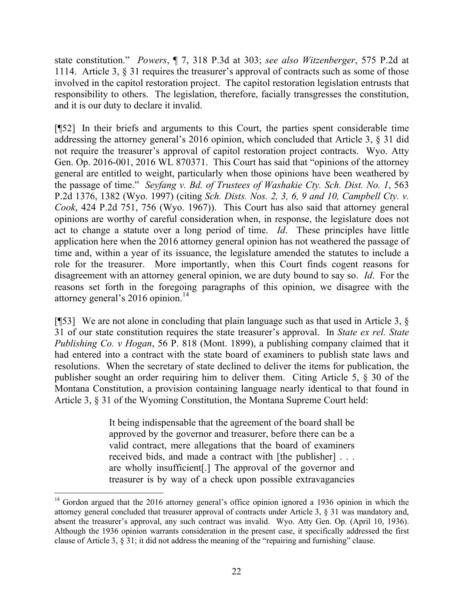state constitution." *Powers*, ¶ 7, 318 P.3d at 303; *see also Witzenberger*, 575 P.2d at 1114. Article 3, § 31 requires the treasurer's approval of contracts such as some of those involved in the capitol restoration project. The capitol restoration legislation entrusts that responsibility to others. The legislation, therefore, facially transgresses the constitution, and it is our duty to declare it invalid.

[¶52] In their briefs and arguments to this Court, the parties spent considerable time addressing the attorney general's 2016 opinion, which concluded that Article 3, § 31 did not require the treasurer's approval of capitol restoration project contracts. Wyo. Atty Gen. Op. 2016-001, 2016 WL 870371. This Court has said that "opinions of the attorney general are entitled to weight, particularly when those opinions have been weathered by the passage of time." *Seyfang v. Bd. of Trustees of Washakie Cty. Sch. Dist. No. 1*, 563 P.2d 1376, 1382 (Wyo. 1997) (citing *Sch. Dists. Nos. 2, 3, 6, 9 and 10, Campbell Cty. v. Cook*, 424 P.2d 751, 756 (Wyo. 1967)). This Court has also said that attorney general opinions are worthy of careful consideration when, in response, the legislature does not act to change a statute over a long period of time. *Id*. These principles have little application here when the 2016 attorney general opinion has not weathered the passage of time and, within a year of its issuance, the legislature amended the statutes to include a role for the treasurer. More importantly, when this Court finds cogent reasons for disagreement with an attorney general opinion, we are duty bound to say so. *Id*. For the reasons set forth in the foregoing paragraphs of this opinion, we disagree with the attorney general's 2016 opinion.<sup>14</sup>

[¶53] We are not alone in concluding that plain language such as that used in Article 3, § 31 of our state constitution requires the state treasurer's approval. In *State ex rel. State Publishing Co. v Hogan*, 56 P. 818 (Mont. 1899), a publishing company claimed that it had entered into a contract with the state board of examiners to publish state laws and resolutions. When the secretary of state declined to deliver the items for publication, the publisher sought an order requiring him to deliver them. Citing Article 5, § 30 of the Montana Constitution, a provision containing language nearly identical to that found in Article 3, § 31 of the Wyoming Constitution, the Montana Supreme Court held:

> It being indispensable that the agreement of the board shall be approved by the governor and treasurer, before there can be a valid contract, mere allegations that the board of examiners received bids, and made a contract with [the publisher] . . . are wholly insufficient[.] The approval of the governor and treasurer is by way of a check upon possible extravagancies

 $\overline{a}$ 

<sup>&</sup>lt;sup>14</sup> Gordon argued that the 2016 attorney general's office opinion ignored a 1936 opinion in which the attorney general concluded that treasurer approval of contracts under Article 3, § 31 was mandatory and, absent the treasurer's approval, any such contract was invalid. Wyo. Atty Gen. Op. (April 10, 1936). Although the 1936 opinion warrants consideration in the present case, it specifically addressed the first clause of Article 3, § 31; it did not address the meaning of the "repairing and furnishing" clause.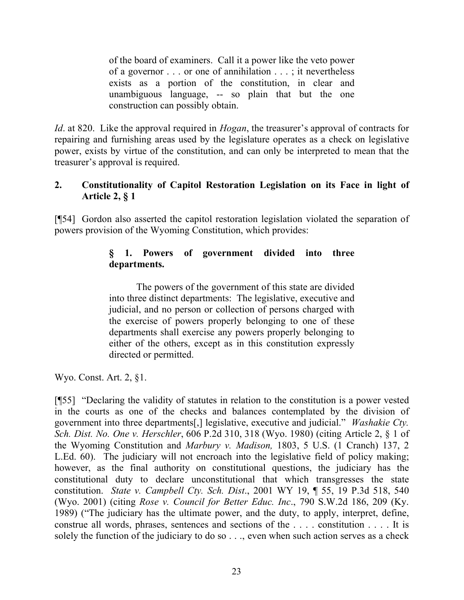of the board of examiners. Call it a power like the veto power of a governor . . . or one of annihilation . . . ; it nevertheless exists as a portion of the constitution, in clear and unambiguous language, -- so plain that but the one construction can possibly obtain.

*Id*. at 820. Like the approval required in *Hogan*, the treasurer's approval of contracts for repairing and furnishing areas used by the legislature operates as a check on legislative power, exists by virtue of the constitution, and can only be interpreted to mean that the treasurer's approval is required.

# **2. Constitutionality of Capitol Restoration Legislation on its Face in light of Article 2, § 1**

[¶54] Gordon also asserted the capitol restoration legislation violated the separation of powers provision of the Wyoming Constitution, which provides:

# **§ 1. Powers of government divided into three departments.**

The powers of the government of this state are divided into three distinct departments: The legislative, executive and judicial, and no person or collection of persons charged with the exercise of powers properly belonging to one of these departments shall exercise any powers properly belonging to either of the others, except as in this constitution expressly directed or permitted.

Wyo. Const. Art. 2, §1.

[¶55] "Declaring the validity of statutes in relation to the constitution is a power vested in the courts as one of the checks and balances contemplated by the division of government into three departments[,] legislative, executive and judicial." *Washakie Cty. Sch. Dist. No. One v. Herschler*, 606 P.2d 310, 318 (Wyo. 1980) (citing Article 2, § 1 of the Wyoming Constitution and *Marbury v. Madison,* 1803, 5 U.S. (1 Cranch) 137, 2 L.Ed. 60). The judiciary will not encroach into the legislative field of policy making; however, as the final authority on constitutional questions, the judiciary has the constitutional duty to declare unconstitutional that which transgresses the state constitution. *State v. Campbell Cty. Sch. Dist*., 2001 WY 19, ¶ 55, 19 P.3d 518, 540 (Wyo. 2001) (citing *Rose v. Council for Better Educ. Inc*., 790 S.W.2d 186, 209 (Ky. 1989) ("The judiciary has the ultimate power, and the duty, to apply, interpret, define, construe all words, phrases, sentences and sections of the . . . . constitution . . . . It is solely the function of the judiciary to do so . . ., even when such action serves as a check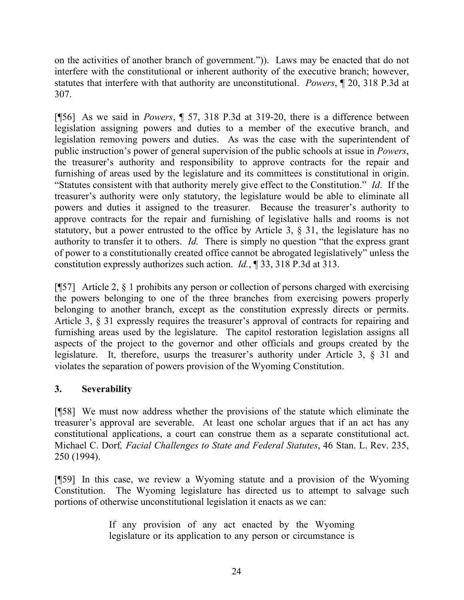on the activities of another branch of government.")). Laws may be enacted that do not interfere with the constitutional or inherent authority of the executive branch; however, statutes that interfere with that authority are unconstitutional. *Powers*, ¶ 20, 318 P.3d at 307.

[¶56] As we said in *Powers*, ¶ 57, 318 P.3d at 319-20, there is a difference between legislation assigning powers and duties to a member of the executive branch, and legislation removing powers and duties. As was the case with the superintendent of public instruction's power of general supervision of the public schools at issue in *Powers*, the treasurer's authority and responsibility to approve contracts for the repair and furnishing of areas used by the legislature and its committees is constitutional in origin. "Statutes consistent with that authority merely give effect to the Constitution." *Id*. If the treasurer's authority were only statutory, the legislature would be able to eliminate all powers and duties it assigned to the treasurer. Because the treasurer's authority to approve contracts for the repair and furnishing of legislative halls and rooms is not statutory, but a power entrusted to the office by Article 3, § 31, the legislature has no authority to transfer it to others. *Id.* There is simply no question "that the express grant of power to a constitutionally created office cannot be abrogated legislatively" unless the constitution expressly authorizes such action. *Id.*, ¶ 33, 318 P.3d at 313.

[¶57] Article 2, § 1 prohibits any person or collection of persons charged with exercising the powers belonging to one of the three branches from exercising powers properly belonging to another branch, except as the constitution expressly directs or permits. Article 3, § 31 expressly requires the treasurer's approval of contracts for repairing and furnishing areas used by the legislature. The capitol restoration legislation assigns all aspects of the project to the governor and other officials and groups created by the legislature. It, therefore, usurps the treasurer's authority under Article 3, § 31 and violates the separation of powers provision of the Wyoming Constitution.

# **3. Severability**

[¶58] We must now address whether the provisions of the statute which eliminate the treasurer's approval are severable. At least one scholar argues that if an act has any constitutional applications, a court can construe them as a separate constitutional act. Michael C. Dorf*, Facial Challenges to State and Federal Statutes*, 46 Stan. L. Rev. 235, 250 (1994).

[¶59] In this case, we review a Wyoming statute and a provision of the Wyoming Constitution. The Wyoming legislature has directed us to attempt to salvage such portions of otherwise unconstitutional legislation it enacts as we can:

> If any provision of any act enacted by the Wyoming legislature or its application to any person or circumstance is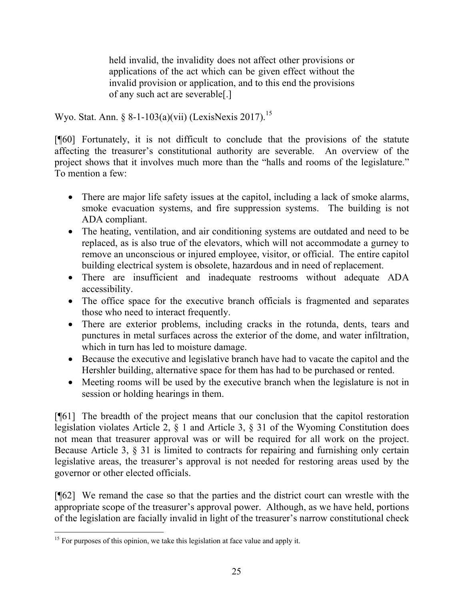held invalid, the invalidity does not affect other provisions or applications of the act which can be given effect without the invalid provision or application, and to this end the provisions of any such act are severable[.]

Wyo. Stat. Ann. § 8-1-103(a)(vii) (LexisNexis 2017).<sup>15</sup>

[¶60] Fortunately, it is not difficult to conclude that the provisions of the statute affecting the treasurer's constitutional authority are severable. An overview of the project shows that it involves much more than the "halls and rooms of the legislature." To mention a few:

- There are major life safety issues at the capitol, including a lack of smoke alarms, smoke evacuation systems, and fire suppression systems. The building is not ADA compliant.
- The heating, ventilation, and air conditioning systems are outdated and need to be replaced, as is also true of the elevators, which will not accommodate a gurney to remove an unconscious or injured employee, visitor, or official. The entire capitol building electrical system is obsolete, hazardous and in need of replacement.
- There are insufficient and inadequate restrooms without adequate ADA accessibility.
- The office space for the executive branch officials is fragmented and separates those who need to interact frequently.
- There are exterior problems, including cracks in the rotunda, dents, tears and punctures in metal surfaces across the exterior of the dome, and water infiltration, which in turn has led to moisture damage.
- Because the executive and legislative branch have had to vacate the capitol and the Hershler building, alternative space for them has had to be purchased or rented.
- Meeting rooms will be used by the executive branch when the legislature is not in session or holding hearings in them.

[¶61] The breadth of the project means that our conclusion that the capitol restoration legislation violates Article 2, § 1 and Article 3, § 31 of the Wyoming Constitution does not mean that treasurer approval was or will be required for all work on the project. Because Article 3, § 31 is limited to contracts for repairing and furnishing only certain legislative areas, the treasurer's approval is not needed for restoring areas used by the governor or other elected officials.

[¶62] We remand the case so that the parties and the district court can wrestle with the appropriate scope of the treasurer's approval power. Although, as we have held, portions of the legislation are facially invalid in light of the treasurer's narrow constitutional check

l  $15$  For purposes of this opinion, we take this legislation at face value and apply it.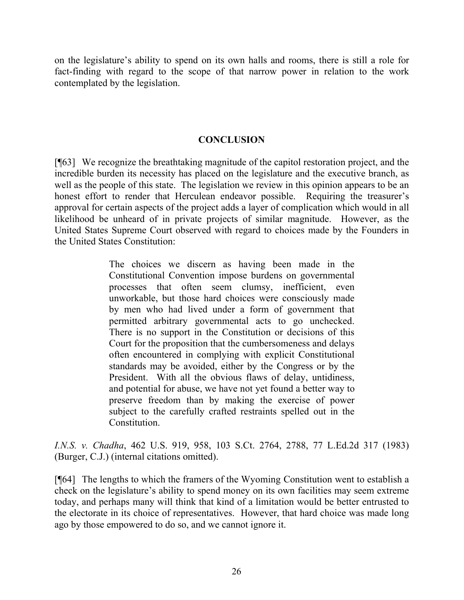on the legislature's ability to spend on its own halls and rooms, there is still a role for fact-finding with regard to the scope of that narrow power in relation to the work contemplated by the legislation.

### **CONCLUSION**

[¶63] We recognize the breathtaking magnitude of the capitol restoration project, and the incredible burden its necessity has placed on the legislature and the executive branch, as well as the people of this state. The legislation we review in this opinion appears to be an honest effort to render that Herculean endeavor possible. Requiring the treasurer's approval for certain aspects of the project adds a layer of complication which would in all likelihood be unheard of in private projects of similar magnitude. However, as the United States Supreme Court observed with regard to choices made by the Founders in the United States Constitution:

> The choices we discern as having been made in the Constitutional Convention impose burdens on governmental processes that often seem clumsy, inefficient, even unworkable, but those hard choices were consciously made by men who had lived under a form of government that permitted arbitrary governmental acts to go unchecked. There is no support in the Constitution or decisions of this Court for the proposition that the cumbersomeness and delays often encountered in complying with explicit Constitutional standards may be avoided, either by the Congress or by the President. With all the obvious flaws of delay, untidiness, and potential for abuse, we have not yet found a better way to preserve freedom than by making the exercise of power subject to the carefully crafted restraints spelled out in the **Constitution**

*I.N.S. v. Chadha*, 462 U.S. 919, 958, 103 S.Ct. 2764, 2788, 77 L.Ed.2d 317 (1983) (Burger, C.J.) (internal citations omitted).

[¶64] The lengths to which the framers of the Wyoming Constitution went to establish a check on the legislature's ability to spend money on its own facilities may seem extreme today, and perhaps many will think that kind of a limitation would be better entrusted to the electorate in its choice of representatives. However, that hard choice was made long ago by those empowered to do so, and we cannot ignore it.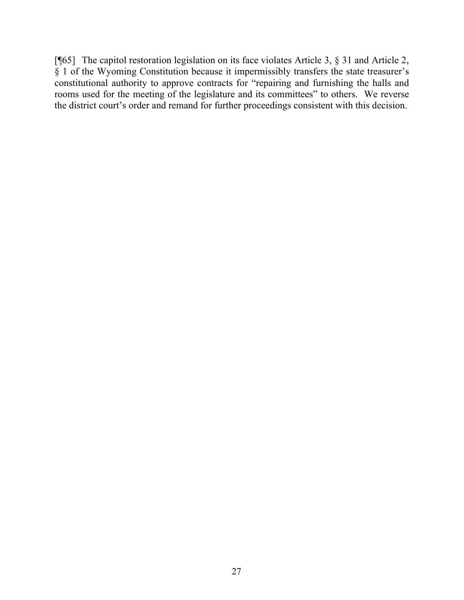[¶65] The capitol restoration legislation on its face violates Article 3, § 31 and Article 2, § 1 of the Wyoming Constitution because it impermissibly transfers the state treasurer's constitutional authority to approve contracts for "repairing and furnishing the halls and rooms used for the meeting of the legislature and its committees" to others. We reverse the district court's order and remand for further proceedings consistent with this decision.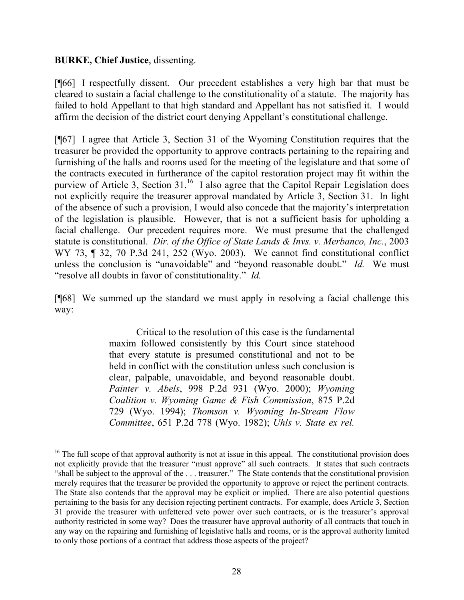#### **BURKE, Chief Justice**, dissenting.

 $\overline{a}$ 

[¶66] I respectfully dissent. Our precedent establishes a very high bar that must be cleared to sustain a facial challenge to the constitutionality of a statute. The majority has failed to hold Appellant to that high standard and Appellant has not satisfied it. I would affirm the decision of the district court denying Appellant's constitutional challenge.

[¶67] I agree that Article 3, Section 31 of the Wyoming Constitution requires that the treasurer be provided the opportunity to approve contracts pertaining to the repairing and furnishing of the halls and rooms used for the meeting of the legislature and that some of the contracts executed in furtherance of the capitol restoration project may fit within the purview of Article 3, Section 31.<sup>16</sup> I also agree that the Capitol Repair Legislation does not explicitly require the treasurer approval mandated by Article 3, Section 31. In light of the absence of such a provision, I would also concede that the majority's interpretation of the legislation is plausible. However, that is not a sufficient basis for upholding a facial challenge. Our precedent requires more. We must presume that the challenged statute is constitutional. *Dir. of the Office of State Lands & Invs. v. Merbanco, Inc.*, 2003 WY 73, ¶ 32, 70 P.3d 241, 252 (Wyo. 2003). We cannot find constitutional conflict unless the conclusion is "unavoidable" and "beyond reasonable doubt." *Id.* We must "resolve all doubts in favor of constitutionality." *Id.*

[¶68] We summed up the standard we must apply in resolving a facial challenge this way:

> Critical to the resolution of this case is the fundamental maxim followed consistently by this Court since statehood that every statute is presumed constitutional and not to be held in conflict with the constitution unless such conclusion is clear, palpable, unavoidable, and beyond reasonable doubt. *Painter v. Abels*, 998 P.2d 931 (Wyo. 2000); *Wyoming Coalition v. Wyoming Game & Fish Commission*, 875 P.2d 729 (Wyo. 1994); *Thomson v. Wyoming In-Stream Flow Committee*, 651 P.2d 778 (Wyo. 1982); *Uhls v. State ex rel.*

<sup>&</sup>lt;sup>16</sup> The full scope of that approval authority is not at issue in this appeal. The constitutional provision does not explicitly provide that the treasurer "must approve" all such contracts. It states that such contracts "shall be subject to the approval of the . . . treasurer." The State contends that the constitutional provision merely requires that the treasurer be provided the opportunity to approve or reject the pertinent contracts. The State also contends that the approval may be explicit or implied. There are also potential questions pertaining to the basis for any decision rejecting pertinent contracts. For example, does Article 3, Section 31 provide the treasurer with unfettered veto power over such contracts, or is the treasurer's approval authority restricted in some way? Does the treasurer have approval authority of all contracts that touch in any way on the repairing and furnishing of legislative halls and rooms, or is the approval authority limited to only those portions of a contract that address those aspects of the project?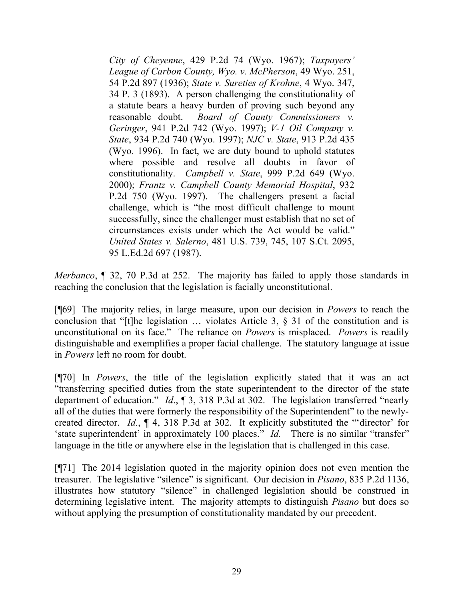*City of Cheyenne*, 429 P.2d 74 (Wyo. 1967); *Taxpayers' League of Carbon County, Wyo. v. McPherson*, 49 Wyo. 251, 54 P.2d 897 (1936); *State v. Sureties of Krohne*, 4 Wyo. 347, 34 P. 3 (1893). A person challenging the constitutionality of a statute bears a heavy burden of proving such beyond any reasonable doubt. *Board of County Commissioners v. Geringer*, 941 P.2d 742 (Wyo. 1997); *V-1 Oil Company v. State*, 934 P.2d 740 (Wyo. 1997); *NJC v. State*, 913 P.2d 435 (Wyo. 1996). In fact, we are duty bound to uphold statutes where possible and resolve all doubts in favor of constitutionality. *Campbell v. State*, 999 P.2d 649 (Wyo. 2000); *Frantz v. Campbell County Memorial Hospital*, 932 P.2d 750 (Wyo. 1997). The challengers present a facial challenge, which is "the most difficult challenge to mount successfully, since the challenger must establish that no set of circumstances exists under which the Act would be valid." *United States v. Salerno*, 481 U.S. 739, 745, 107 S.Ct. 2095, 95 L.Ed.2d 697 (1987).

*Merbanco*, ¶ 32, 70 P.3d at 252. The majority has failed to apply those standards in reaching the conclusion that the legislation is facially unconstitutional.

[¶69] The majority relies, in large measure, upon our decision in *Powers* to reach the conclusion that "[t]he legislation  $\ldots$  violates Article 3,  $\S$  31 of the constitution and is unconstitutional on its face." The reliance on *Powers* is misplaced. *Powers* is readily distinguishable and exemplifies a proper facial challenge. The statutory language at issue in *Powers* left no room for doubt.

[¶70] In *Powers*, the title of the legislation explicitly stated that it was an act "transferring specified duties from the state superintendent to the director of the state department of education." *Id*., ¶ 3, 318 P.3d at 302. The legislation transferred "nearly all of the duties that were formerly the responsibility of the Superintendent" to the newlycreated director. *Id.*, ¶ 4, 318 P.3d at 302. It explicitly substituted the "'director' for 'state superintendent' in approximately 100 places." *Id.* There is no similar "transfer" language in the title or anywhere else in the legislation that is challenged in this case.

[¶71] The 2014 legislation quoted in the majority opinion does not even mention the treasurer. The legislative "silence" is significant. Our decision in *Pisano*, 835 P.2d 1136, illustrates how statutory "silence" in challenged legislation should be construed in determining legislative intent. The majority attempts to distinguish *Pisano* but does so without applying the presumption of constitutionality mandated by our precedent.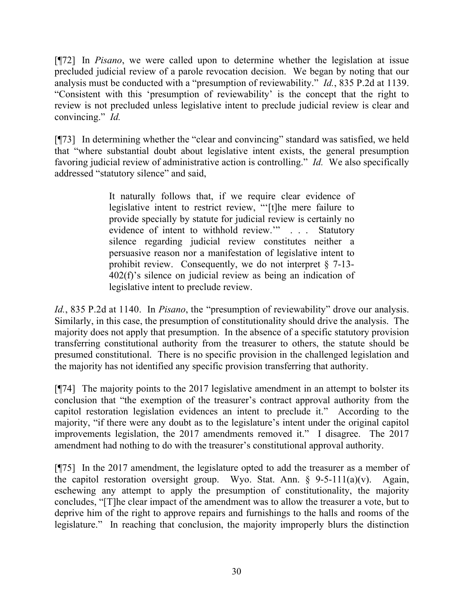[¶72] In *Pisano*, we were called upon to determine whether the legislation at issue precluded judicial review of a parole revocation decision. We began by noting that our analysis must be conducted with a "presumption of reviewability." *Id.*, 835 P.2d at 1139. "Consistent with this 'presumption of reviewability' is the concept that the right to review is not precluded unless legislative intent to preclude judicial review is clear and convincing." *Id.*

[¶73] In determining whether the "clear and convincing" standard was satisfied, we held that "where substantial doubt about legislative intent exists, the general presumption favoring judicial review of administrative action is controlling." *Id.* We also specifically addressed "statutory silence" and said,

> It naturally follows that, if we require clear evidence of legislative intent to restrict review, "'[t]he mere failure to provide specially by statute for judicial review is certainly no evidence of intent to withhold review.'" . . . Statutory silence regarding judicial review constitutes neither a persuasive reason nor a manifestation of legislative intent to prohibit review. Consequently, we do not interpret § 7-13- 402(f)'s silence on judicial review as being an indication of legislative intent to preclude review.

*Id.*, 835 P.2d at 1140. In *Pisano*, the "presumption of reviewability" drove our analysis. Similarly, in this case, the presumption of constitutionality should drive the analysis. The majority does not apply that presumption. In the absence of a specific statutory provision transferring constitutional authority from the treasurer to others, the statute should be presumed constitutional. There is no specific provision in the challenged legislation and the majority has not identified any specific provision transferring that authority.

[¶74] The majority points to the 2017 legislative amendment in an attempt to bolster its conclusion that "the exemption of the treasurer's contract approval authority from the capitol restoration legislation evidences an intent to preclude it." According to the majority, "if there were any doubt as to the legislature's intent under the original capitol improvements legislation, the 2017 amendments removed it." I disagree. The 2017 amendment had nothing to do with the treasurer's constitutional approval authority.

[¶75] In the 2017 amendment, the legislature opted to add the treasurer as a member of the capitol restoration oversight group. Wyo. Stat. Ann.  $\S$  9-5-111(a)(v). Again, eschewing any attempt to apply the presumption of constitutionality, the majority concludes, "[T]he clear impact of the amendment was to allow the treasurer a vote, but to deprive him of the right to approve repairs and furnishings to the halls and rooms of the legislature." In reaching that conclusion, the majority improperly blurs the distinction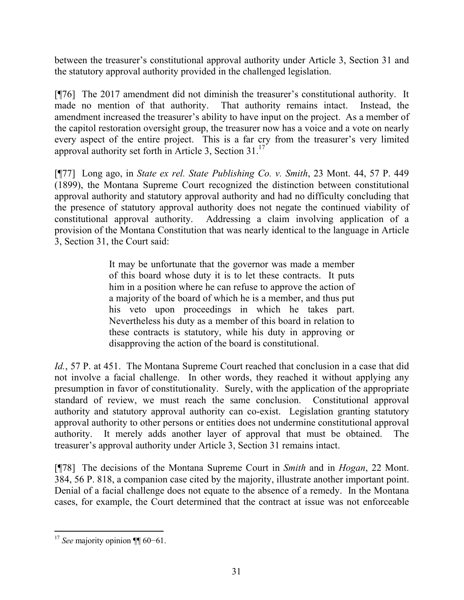between the treasurer's constitutional approval authority under Article 3, Section 31 and the statutory approval authority provided in the challenged legislation.

[¶76] The 2017 amendment did not diminish the treasurer's constitutional authority. It made no mention of that authority. That authority remains intact. Instead, the amendment increased the treasurer's ability to have input on the project. As a member of the capitol restoration oversight group, the treasurer now has a voice and a vote on nearly every aspect of the entire project. This is a far cry from the treasurer's very limited approval authority set forth in Article 3, Section 31.<sup>17</sup>

[¶77] Long ago, in *State ex rel. State Publishing Co. v. Smith*, 23 Mont. 44, 57 P. 449 (1899), the Montana Supreme Court recognized the distinction between constitutional approval authority and statutory approval authority and had no difficulty concluding that the presence of statutory approval authority does not negate the continued viability of constitutional approval authority. Addressing a claim involving application of a provision of the Montana Constitution that was nearly identical to the language in Article 3, Section 31, the Court said:

> It may be unfortunate that the governor was made a member of this board whose duty it is to let these contracts. It puts him in a position where he can refuse to approve the action of a majority of the board of which he is a member, and thus put his veto upon proceedings in which he takes part. Nevertheless his duty as a member of this board in relation to these contracts is statutory, while his duty in approving or disapproving the action of the board is constitutional.

*Id.*, 57 P. at 451. The Montana Supreme Court reached that conclusion in a case that did not involve a facial challenge. In other words, they reached it without applying any presumption in favor of constitutionality. Surely, with the application of the appropriate standard of review, we must reach the same conclusion. Constitutional approval authority and statutory approval authority can co-exist. Legislation granting statutory approval authority to other persons or entities does not undermine constitutional approval authority. It merely adds another layer of approval that must be obtained. The treasurer's approval authority under Article 3, Section 31 remains intact.

[¶78] The decisions of the Montana Supreme Court in *Smith* and in *Hogan*, 22 Mont. 384, 56 P. 818, a companion case cited by the majority, illustrate another important point. Denial of a facial challenge does not equate to the absence of a remedy. In the Montana cases, for example, the Court determined that the contract at issue was not enforceable

l <sup>17</sup> *See* majority opinion ¶¶ 60−61.